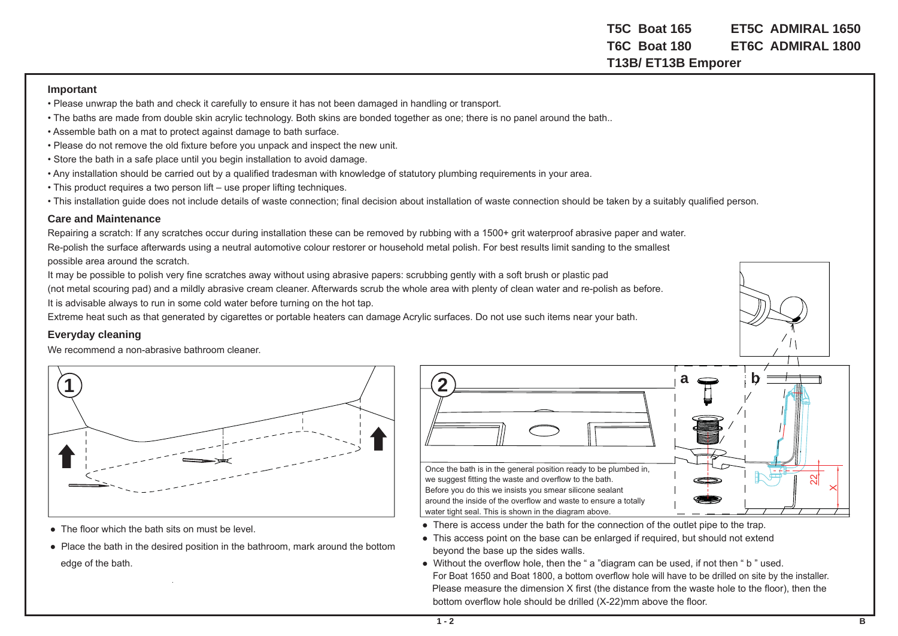**T5C Boat 165 ET5C ADMIRAL 1650T6C Boat 180 ET6C ADMIRAL 1800T13B/ ET13B Emporer** 

## **Important**

- Please unwrap the bath and check it carefully to ensure it has not been damaged in handling or transport.
- The baths are made from double skin acrylic technology. Both skins are bonded together as one; there is no panel around the bath..
- Assemble bath on a mat to protect against damage to bath surface.
- Please do not remove the old fixture before you unpack and inspect the new unit.
- Store the bath in a safe place until you begin installation to avoid damage.
- Any installation should be carried out by a qualified tradesman with knowledge of statutory plumbing requirements in your area.
- This product requires a two person lift use proper lifting techniques.
- This installation guide does not include details of waste connection; final decision about installation of waste connection should be taken by a suitably qualified person.

## **Care and Maintenance**

Repairing a scratch: If any scratches occur during installation these can be removed by rubbing with a 1500+ grit waterproof abrasive paper and water. Re-polish the surface afterwards using a neutral automotive colour restorer or household metal polish. For best results limit sanding to the smallest possible area around the scratch.

It may be possible to polish very fine scratches away without using abrasive papers: scrubbing gently with a soft brush or plastic pad (not metal scouring pad) and a mildly abrasive cream cleaner. Afterwards scrub the whole area with plenty of clean water and re-polish as before.

It is advisable always to run in some cold water before turning on the hot tap.

Extreme heat such as that generated by cigarettes or portable heaters can damage Acrylic surfaces. Do not use such items near your bath.

## **Everyday cleaning**

We recommend a non-abrasive bathroom cleaner.



- The floor which the bath sits on must be level
- Place the bath in the desired position in the bathroom, mark around the bottom edge of the bath.



we suggest fitting the waste and overflow to the bath. Before you do this we insists you smear silicone sealant around the inside of the overflow and waste to ensure a totally water tight seal. This is shown in the diagram above.

- There is access under the bath for the connection of the outlet pipe to the trap.
- This access point on the base can be enlarged if required, but should not extend beyond the base up the sides walls.
- Without the overflow hole, then the "a "diagram can be used, if not then "b " used. For Boat 1650 and Boat 1800, a bottom overflow hole will have to be drilled on site by the installer. Please measure the dimension X first (the distance from the waste hole to the floor), then the bottom overflow hole should be drilled (X-22)mm above the floor.

**a**

**b**

 $\times$  $\mathcal{S}$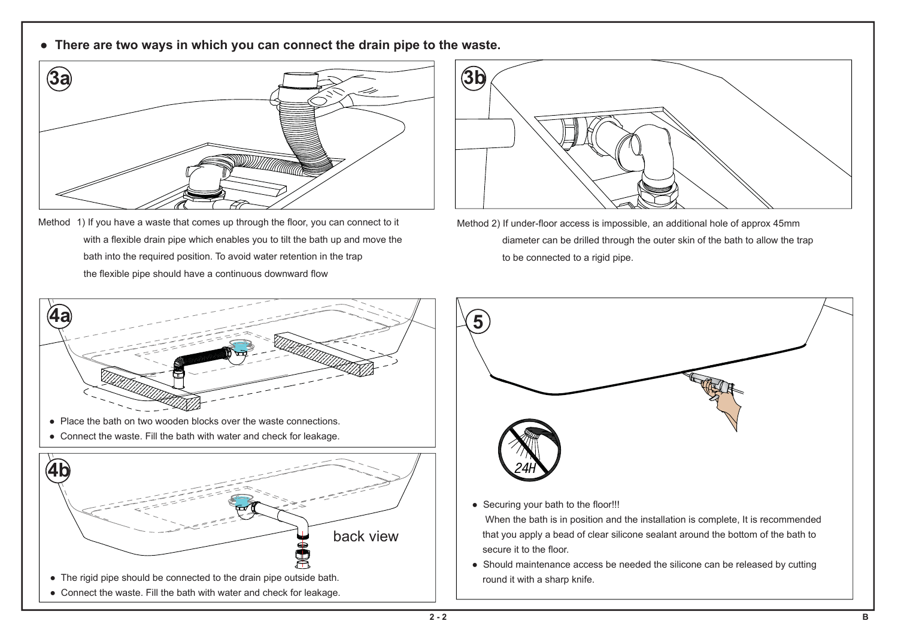**● There are two ways in which you can connect the drain pipe to the waste.**



Method 1) If you have a waste that comes up through the floor, you can connect to it with a flexible drain pipe which enables you to tilt the bath up and move the bath into the required position. To avoid water retention in the trap the flexible pipe should have a continuous downward flow



Method 2) If under-floor access is impossible, an additional hole of approx 45mm diameter can be drilled through the outer skin of the bath to allow the trap to be connected to a rigid pipe.





● Securing your bath to the floor!!!

 When the bath is in position and the installation is complete, It is recommended that you apply a bead of clear silicone sealant around the bottom of the bath to secure it to the floor.

● Should maintenance access be needed the silicone can be released by cutting round it with a sharp knife.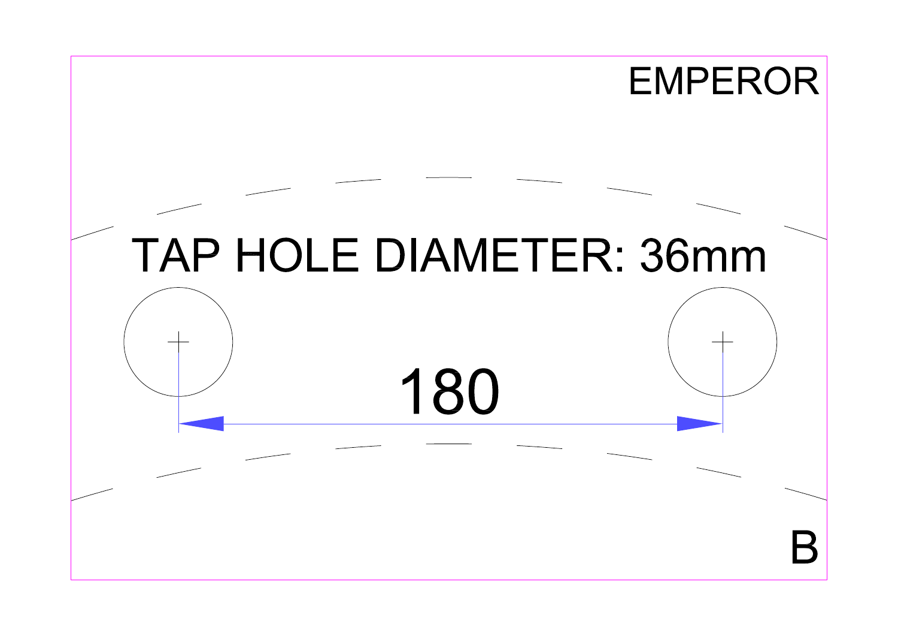